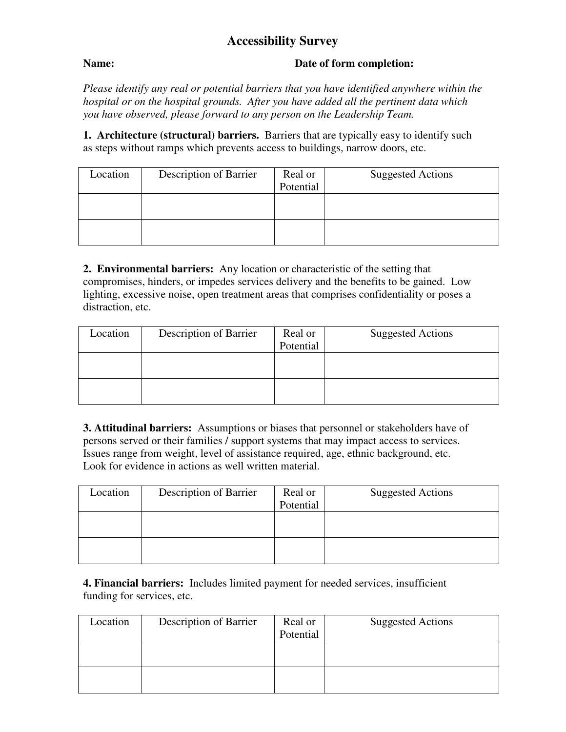## **Accessibility Survey**

## **Name: Date of form completion:**

*Please identify any real or potential barriers that you have identified anywhere within the hospital or on the hospital grounds. After you have added all the pertinent data which you have observed, please forward to any person on the Leadership Team.* 

**1. Architecture (structural) barriers.** Barriers that are typically easy to identify such as steps without ramps which prevents access to buildings, narrow doors, etc.

| Location | Description of Barrier | Real or<br>Potential | <b>Suggested Actions</b> |
|----------|------------------------|----------------------|--------------------------|
|          |                        |                      |                          |
|          |                        |                      |                          |

**2. Environmental barriers:** Any location or characteristic of the setting that compromises, hinders, or impedes services delivery and the benefits to be gained. Low lighting, excessive noise, open treatment areas that comprises confidentiality or poses a distraction, etc.

| Location | Description of Barrier | Real or<br>Potential | <b>Suggested Actions</b> |
|----------|------------------------|----------------------|--------------------------|
|          |                        |                      |                          |
|          |                        |                      |                          |

**3. Attitudinal barriers:** Assumptions or biases that personnel or stakeholders have of persons served or their families / support systems that may impact access to services. Issues range from weight, level of assistance required, age, ethnic background, etc. Look for evidence in actions as well written material.

| Location | Description of Barrier | Real or<br>Potential | <b>Suggested Actions</b> |
|----------|------------------------|----------------------|--------------------------|
|          |                        |                      |                          |
|          |                        |                      |                          |
|          |                        |                      |                          |
|          |                        |                      |                          |
|          |                        |                      |                          |

**4. Financial barriers:** Includes limited payment for needed services, insufficient funding for services, etc.

| Location | Description of Barrier | Real or   | <b>Suggested Actions</b> |
|----------|------------------------|-----------|--------------------------|
|          |                        | Potential |                          |
|          |                        |           |                          |
|          |                        |           |                          |
|          |                        |           |                          |
|          |                        |           |                          |